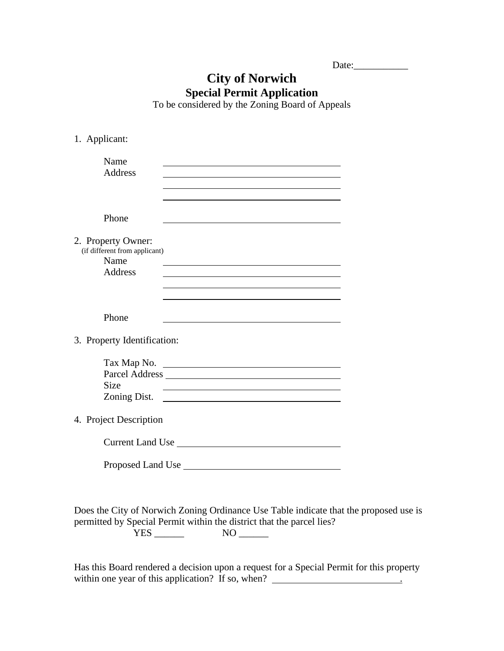| Date: |  |  |
|-------|--|--|
|       |  |  |

## **City of Norwich Special Permit Application**

To be considered by the Zoning Board of Appeals

| 1. Applicant:                                                                 |                                                                                                                                                                                                                                                                                                                                                       |  |
|-------------------------------------------------------------------------------|-------------------------------------------------------------------------------------------------------------------------------------------------------------------------------------------------------------------------------------------------------------------------------------------------------------------------------------------------------|--|
| Name<br><b>Address</b>                                                        | <u> 1980 - Johann Barbara, martxa alemaniar amerikan a</u>                                                                                                                                                                                                                                                                                            |  |
| Phone                                                                         |                                                                                                                                                                                                                                                                                                                                                       |  |
| 2. Property Owner:<br>(if different from applicant)<br>Name<br><b>Address</b> | <u> 1989 - Johann Barbara, martxa alemaniar argumento de la contrada de la contrada de la contrada de la contrad</u><br>the control of the control of the control of the control of the control of the control of the control of the control of the control of the control of the control of the control of the control of the control of the control |  |
| Phone                                                                         |                                                                                                                                                                                                                                                                                                                                                       |  |
| 3. Property Identification:                                                   |                                                                                                                                                                                                                                                                                                                                                       |  |
| <b>Size</b>                                                                   | Tax Map No.<br>Zoning Dist.                                                                                                                                                                                                                                                                                                                           |  |
| 4. Project Description                                                        |                                                                                                                                                                                                                                                                                                                                                       |  |
|                                                                               | Current Land Use                                                                                                                                                                                                                                                                                                                                      |  |
|                                                                               |                                                                                                                                                                                                                                                                                                                                                       |  |
|                                                                               | Does the City of Norwich Zoning Ordinance Use Table indicate that the proposed use is<br>permitted by Special Permit within the district that the parcel lies?                                                                                                                                                                                        |  |

Has this Board rendered a decision upon a request for a Special Permit for this property within one year of this application? If so, when? \_\_\_\_\_\_\_\_\_\_\_\_\_\_\_\_\_\_\_\_\_\_\_\_\_\_\_\_\_\_

YES \_\_\_\_\_\_ NO \_\_\_\_\_\_